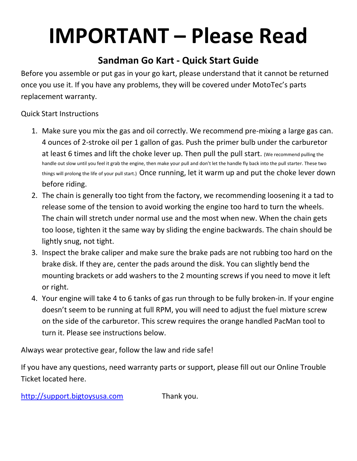## **IMPORTANT – Please Read**

## **Sandman Go Kart - Quick Start Guide**

Before you assemble or put gas in your go kart, please understand that it cannot be returned once you use it. If you have any problems, they will be covered under MotoTec's parts replacement warranty.

Quick Start Instructions

- 1. Make sure you mix the gas and oil correctly. We recommend pre-mixing a large gas can. 4 ounces of 2-stroke oil per 1 gallon of gas. Push the primer bulb under the carburetor at least 6 times and lift the choke lever up. Then pull the pull start. (We recommend pulling the handle out slow until you feel it grab the engine, then make your pull and don't let the handle fly back into the pull starter. These two things will prolong the life of your pull start.) Once running, let it warm up and put the choke lever down before riding.
- 2. The chain is generally too tight from the factory, we recommending loosening it a tad to release some of the tension to avoid working the engine too hard to turn the wheels. The chain will stretch under normal use and the most when new. When the chain gets too loose, tighten it the same way by sliding the engine backwards. The chain should be lightly snug, not tight.
- 3. Inspect the brake caliper and make sure the brake pads are not rubbing too hard on the brake disk. If they are, center the pads around the disk. You can slightly bend the mounting brackets or add washers to the 2 mounting screws if you need to move it left or right.
- 4. Your engine will take 4 to 6 tanks of gas run through to be fully broken-in. If your engine doesn't seem to be running at full RPM, you will need to adjust the fuel mixture screw on the side of the carburetor. This screw requires the orange handled PacMan tool to turn it. Please see instructions below.

Always wear protective gear, follow the law and ride safe!

If you have any questions, need warranty parts or support, please fill out our Online Trouble Ticket located here.

[http://support.bigtoysusa.com](http://support.bigtoysusa.com/) Thank you.